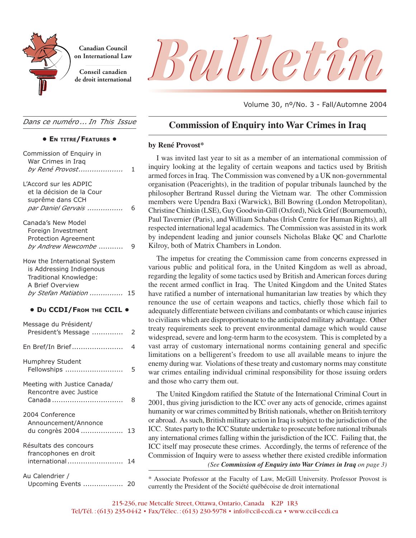

**Canadian Council on International Law**

**Conseil canadien**

*Dans ce numéro ... In This Issue*

#### **• EN TITRE/FEATURES •**

| Commission of Enquiry in<br>War Crimes in Iraq<br>by René Provost                                                                 | 1  |
|-----------------------------------------------------------------------------------------------------------------------------------|----|
| L'Accord sur les ADPIC<br>et la décision de la Cour<br>suprême dans CCH<br>par Daniel Gervais                                     | 6  |
| Canada's New Model<br>Foreign Investment<br><b>Protection Agreement</b><br>by Andrew Newcombe                                     | 9  |
| How the International System<br>is Addressing Indigenous<br>Traditional Knowledge:<br>A Brief Overview<br>by Stefan Matiation  15 |    |
| · Du CCDI/FROM THE CCIL .                                                                                                         |    |
| Message du Président/<br>President's Message                                                                                      | 2  |
| En Bref/In Brief                                                                                                                  | 4  |
| Humphrey Student<br>Fellowships                                                                                                   | 5  |
| Meeting with Justice Canada/<br>Rencontre avec Justice<br>Canada                                                                  | 8  |
| 2004 Conference<br>Announcement/Annonce<br>du congrès 2004                                                                        | 13 |
| Résultats des concours                                                                                                            |    |
| francophones en droit<br>international                                                                                            | 14 |



Volume 30, nº/No. 3 - Fall/Automne 2004

### **Commission of Enquiry into War Crimes in Iraq**

#### **by René Provost\***

I was invited last year to sit as a member of an international commission of inquiry looking at the legality of certain weapons and tactics used by British armed forces in Iraq. The Commission was convened by a UK non-governmental organisation (Peacerights), in the tradition of popular tribunals launched by the philosopher Bertrand Russel during the Vietnam war. The other Commission members were Upendra Baxi (Warwick), Bill Bowring (London Metropolitan), Christine Chinkin (LSE), Guy Goodwin-Gill (Oxford), Nick Grief (Bournemouth), Paul Tavernier (Paris), and William Schabas (Irish Centre for Human Rights), all respected international legal academics. The Commission was assisted in its work by independent leading and junior counsels Nicholas Blake QC and Charlotte Kilroy, both of Matrix Chambers in London.

The impetus for creating the Commission came from concerns expressed in various public and political fora, in the United Kingdom as well as abroad, regarding the legality of some tactics used by British and American forces during the recent armed conflict in Iraq. The United Kingdom and the United States have ratified a number of international humanitarian law treaties by which they renounce the use of certain weapons and tactics, chiefly those which fail to adequately differentiate between civilians and combatants or which cause injuries to civilians which are disproportionate to the anticipated military advantage. Other treaty requirements seek to prevent environmental damage which would cause widespread, severe and long-term harm to the ecosystem. This is completed by a vast array of customary international norms containing general and specific limitations on a belligerent's freedom to use all available means to injure the enemy during war. Violations of these treaty and customary norms may constitute war crimes entailing individual criminal responsibility for those issuing orders and those who carry them out.

*(See Commission of Enquiry into War Crimes in Iraq on page 3)* The United Kingdom ratified the Statute of the International Criminal Court in 2001, thus giving jurisdiction to the ICC over any acts of genocide, crimes against humanity or war crimes committed by British nationals, whether on British territory or abroad. As such, British military action in Iraq is subject to the jurisdiction of the ICC. States party to the ICC Statute undertake to prosecute before national tribunals any international crimes falling within the jurisdiction of the ICC. Failing that, the ICC itself may prosecute these crimes. Accordingly, the terms of reference of the Commission of Inquiry were to assess whether there existed credible information

<sup>\*</sup> Associate Professor at the Faculty of Law, McGill University. Professor Provost is currently the President of the Société québécoise de droit international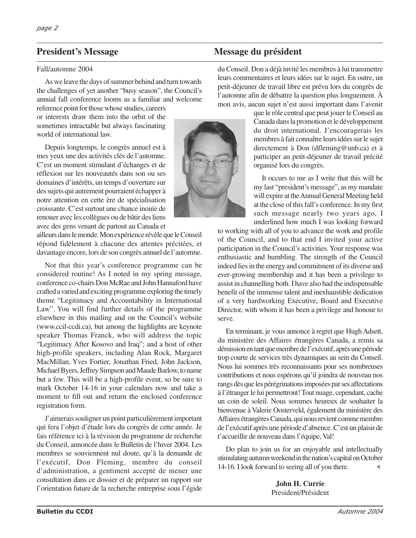#### Fall/automne 2004

As we leave the days of summer behind and turn towards the challenges of yet another "busy season", the Council's annual fall conference looms as a familiar and welcome

reference point for those whose studies, careers or interests draw them into the orbit of the sometimes intractable but always fascinating world of international law.

Depuis longtemps, le congrès annuel est à mes yeux une des activités clés de l'automne. C'est un moment stimulant d'échanges et de réflexion sur les nouveautés dans son ou ses domaines d'intérêts, un temps d'ouverture sur des sujets qui autrement pourraient échapper à notre attention en cette ère de spécialisation croissante. C'est surtout une chance inouïe de renouer avec les collègues ou de bâtir des liens avec des gens venant de partout au Canada et

ailleurs dans le monde. Mon expérience révèle que le Conseil répond fidèlement à chacune des attentes précitées, et davantage encore, lors de son congrès annuel de l'automne.

Not that this year's conference programme can be considered routine! As I noted in my spring message, conference co-chairs Don McRae and John Hannaford have crafted a varied and exciting programme exploring the timely theme "Legitimacy and Accountability in International Law". You will find further details of the programme elsewhere in this mailing and on the Council's website (www.ccil-ccdi.ca), but among the highlights are keynote speaker Thomas Franck, who will address the topic "Legitimacy After Kosovo and Iraq"; and a host of other high-profile speakers, including Alan Rock, Margaret MacMillan, Yves Fortier, Jonathan Fried, John Jackson, Michael Byers, Jeffrey Simpson and Maude Barlow, to name but a few. This will be a high-profile event, so be sure to mark October 14-16 in your calendars now and take a moment to fill out and return the enclosed conference registration form.

J'aimerais souligner un point particulièrement important qui fera l'objet d'étude lors du congrès de cette année. Je fais référence ici à la révision du programme de recherche du Conseil, annoncée dans le Bulletin de l'hiver 2004. Les membres se souviennent nul doute, qu'à la demande de l'exécutif, Don Fleming, membre du conseil d'administration, a gentiment accepté de mener une consultation dans ce dossier et de préparer un rapport sur l'orientation future de la recherche entreprise sous l'égide

### **President's Message du président du mésure du président du mésure du président du mésure du président du mésure du président du mésure du mésure du mésure du mésure du mésure du mésure du mésure du mésure du mésure du més**

du Conseil. Don a déjà invité les membres à lui transmettre leurs commentaires et leurs idées sur le sujet. En outre, un petit-déjeuner de travail libre est prévu lors du congrès de l'automne afin de débattre la question plus longuement. À mon avis, aucun sujet n'est aussi important dans l'avenir

que le rôle central que peut jouer le Conseil au Canada dans la promotion et le développement du droit international. J'encouragerais les membres à fait connaître leurs idées sur le sujet directement à Don (dfleming@unb.ca) et à participer au petit-déjeuner de travail précité organisé lors du congrès.

It occurs to me as I write that this will be my last "president's message", as my mandate will expire at the Annual General Meeting held at the close of this fall's conference. In my first such message nearly two years ago, I underlined how much I was looking forward

to working with all of you to advance the work and profile of the Council, and to that end I invited your active participation in the Council's activities. Your response was enthusiastic and humbling. The strength of the Council indeed lies in the energy and commitment of its diverse and ever-growing membership and it has been a privilege to assist in channelling both. I have also had the indispensable benefit of the immense talent and inexhaustible dedication of a very hardworking Executive, Board and Executive Director, with whom it has been a privilege and honour to serve.

En terminant, je vous annonce à regret que Hugh Adsett, du ministère des Affaires étrangères Canada, a remis sa démission en tant que membre de l'exécutif, après une période trop courte de services très dynamiques au sein du Conseil. Nous lui sommes très reconnaissants pour ses nombreuses contributions et nous espérons qu'il joindra de nouveau nos rangs dès que les pérégrinations imposées par ses affectations à l'étranger le lui permettront! Tout nuage, cependant, cache un coin de soleil. Nous sommes heureux de souhaiter la bienvenue à Valerie Oosterveld, également du ministère des Affaires étrangères Canada, qui nous revient comme membre de l'exécutif après une période d'absence. C'est un plaisir de t'accueillir de nouveau dans l'équipe, Val!

Do plan to join us for an enjoyable and intellectually stimulating autumn weekend in the nation's capital on October 14-16. I look forward to seeing all of you there. ∢

> **John H. Currie** President/Président

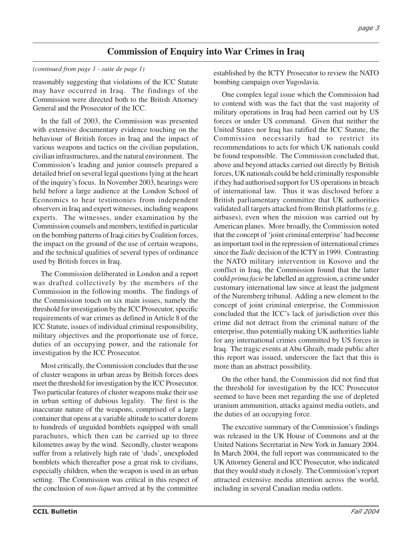### **Commission of Enquiry into War Crimes in Iraq**

#### *(continued from page 1 - suite de page 1)*

reasonably suggesting that violations of the ICC Statute may have occurred in Iraq. The findings of the Commission were directed both to the British Attorney General and the Prosecutor of the ICC.

In the fall of 2003, the Commission was presented with extensive documentary evidence touching on the behaviour of British forces in Iraq and the impact of various weapons and tactics on the civilian population, civilian infrastructures, and the natural environment. The Commission's leading and junior counsels prepared a detailed brief on several legal questions lying at the heart of the inquiry's focus. In November 2003, hearings were held before a large audience at the London School of Economics to hear testimonies from independent observers in Iraq and expert witnesses, including weapons experts. The witnesses, under examination by the Commission counsels and members, testified in particular on the bombing patterns of Iraqi cities by Coalition forces, the impact on the ground of the use of certain weapons, and the technical qualities of several types of ordinance used by British forces in Iraq.

The Commission deliberated in London and a report was drafted collectively by the members of the Commission in the following months. The findings of the Commission touch on six main issues, namely the threshold for investigation by the ICC Prosecutor, specific requirements of war crimes as defined in Article 8 of the ICC Statute, issues of individual criminal responsibility, military objectives and the proportionate use of force, duties of an occupying power, and the rationale for investigation by the ICC Prosecutor.

Most critically, the Commission concludes that the use of cluster weapons in urban areas by British forces does meet the threshold for investigation by the ICC Prosecutor. Two particular features of cluster weapons make their use in urban setting of dubious legality. The first is the inaccurate nature of the weapons, comprised of a large container that opens at a variable altitude to scatter dozens to hundreds of unguided bomblets equipped with small parachutes, which then can be carried up to three kilometres away by the wind. Secondly, cluster weapons suffer from a relatively high rate of 'duds', unexploded bomblets which thereafter pose a great risk to civilians, especially children, when the weapon is used in an urban setting. The Commission was critical in this respect of the conclusion of *non-liquet* arrived at by the committee

established by the ICTY Prosecutor to review the NATO bombing campaign over Yugoslavia.

One complex legal issue which the Commission had to contend with was the fact that the vast majority of military operations in Iraq had been carried out by US forces or under US command. Given that neither the United States nor Iraq has ratified the ICC Statute, the Commission necessarily had to restrict its recommendations to acts for which UK nationals could be found responsible. The Commission concluded that, above and beyond attacks carried out directly by British forces, UK nationals could be held criminally responsible if they had authorised support for US operations in breach of international law. Thus it was disclosed before a British parliamentary committee that UK authorities validated all targets attacked from British platforms (e.g. airbases), even when the mission was carried out by American planes. More broadly, the Commission noted that the concept of 'joint criminal enterprise' had become an important tool in the repression of international crimes since the *Tadic* decision of the ICTY in 1999. Contrasting the NATO military intervention in Kosovo and the conflict in Iraq, the Commission found that the latter could *prima facie* be labelled an aggression, a crime under customary international law since at least the judgment of the Nuremberg tribunal. Adding a new element to the concept of joint criminal enterprise, the Commission concluded that the ICC's lack of jurisdiction over this crime did not detract from the criminal nature of the enterprise, thus potentially making UK authorities liable for any international crimes committed by US forces in Iraq. The tragic events at Abu Ghraib, made public after this report was issued, underscore the fact that this is more than an abstract possibility.

On the other hand, the Commission did not find that the threshold for investigation by the ICC Prosecutor seemed to have been met regarding the use of depleted uranium ammunition, attacks against media outlets, and the duties of an occupying force.

The executive summary of the Commission's findings was released in the UK House of Commons and at the United Nations Secretariat in New York in January 2004. In March 2004, the full report was communicated to the UK Attorney General and ICC Prosecutor, who indicated that they would study it closely. The Commission's report attracted extensive media attention across the world, including in several Canadian media outlets.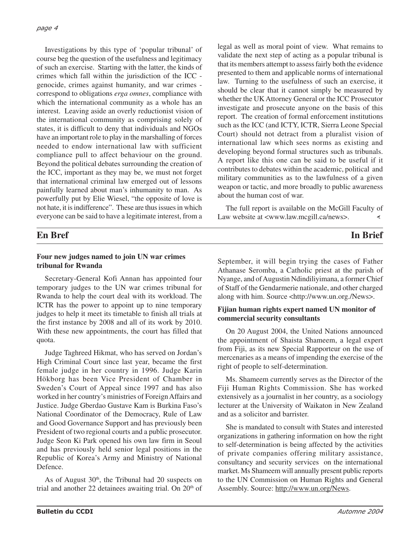Investigations by this type of 'popular tribunal' of course beg the question of the usefulness and legitimacy of such an exercise. Starting with the latter, the kinds of crimes which fall within the jurisdiction of the ICC genocide, crimes against humanity, and war crimes correspond to obligations *erga omnes*, compliance with which the international community as a whole has an interest. Leaving aside an overly reductionist vision of the international community as comprising solely of states, it is difficult to deny that individuals and NGOs have an important role to play in the marshalling of forces needed to endow international law with sufficient compliance pull to affect behaviour on the ground. Beyond the political debates surrounding the creation of the ICC, important as they may be, we must not forget that international criminal law emerged out of lessons painfully learned about man's inhumanity to man. As powerfully put by Elie Wiesel, "the opposite of love is not hate, it is indifference". These are thus issues in which everyone can be said to have a legitimate interest, from a legal as well as moral point of view. What remains to validate the next step of acting as a popular tribunal is that its members attempt to assess fairly both the evidence presented to them and applicable norms of international law. Turning to the usefulness of such an exercise, it should be clear that it cannot simply be measured by whether the UK Attorney General or the ICC Prosecutor investigate and prosecute anyone on the basis of this report. The creation of formal enforcement institutions such as the ICC (and ICTY, ICTR, Sierra Leone Special Court) should not detract from a pluralist vision of international law which sees norms as existing and developing beyond formal structures such as tribunals. A report like this one can be said to be useful if it contributes to debates within the academic, political and military communities as to the lawfulness of a given weapon or tactic, and more broadly to public awareness about the human cost of war.

The full report is available on the McGill Faculty of Law website at <www.law.mcgill.ca/news>. ∢

### **En Bref In Brief**

### **Four new judges named to join UN war crimes tribunal for Rwanda**

Secretary-General Kofi Annan has appointed four temporary judges to the UN war crimes tribunal for Rwanda to help the court deal with its workload. The ICTR has the power to appoint up to nine temporary judges to help it meet its timetable to finish all trials at the first instance by 2008 and all of its work by 2010. With these new appointments, the court has filled that quota.

Judge Taghreed Hikmat, who has served on Jordan's High Criminal Court since last year, became the first female judge in her country in 1996. Judge Karin Hökborg has been Vice President of Chamber in Sweden's Court of Appeal since 1997 and has also worked in her country's ministries of Foreign Affairs and Justice. Judge Gberdao Gustave Kam is Burkina Faso's National Coordinator of the Democracy, Rule of Law and Good Governance Support and has previously been President of two regional courts and a public prosecutor. Judge Seon Ki Park opened his own law firm in Seoul and has previously held senior legal positions in the Republic of Korea's Army and Ministry of National Defence.

As of August 30th, the Tribunal had 20 suspects on trial and another 22 detainees awaiting trial. On  $20<sup>th</sup>$  of September, it will begin trying the cases of Father Athanase Seromba, a Catholic priest at the parish of Nyange, and of Augustin Ndindiliyimana, a former Chief of Staff of the Gendarmerie nationale, and other charged along with him. Source <http://www.un.org./News>.

### **Fijian human rights expert named UN monitor of commercial security consultants**

On 20 August 2004, the United Nations announced the appointment of Shaista Shameem, a legal expert from Fiji, as its new Special Rapporteur on the use of mercenaries as a means of impending the exercise of the right of people to self-determination.

Ms. Shameem currently serves as the Director of the Fiji Human Rights Commission. She has worked extensively as a journalist in her country, as a sociology lecturer at the University of Waikaton in New Zealand and as a solicitor and barrister.

She is mandated to consult with States and interested organizations in gathering information on how the right to self-determination is being affected by the activities of private companies offering military assistance, consultancy and security services on the international market. Ms Shameem will annually present public reports to the UN Commission on Human Rights and General Assembly. Source: http://www.un.org/News.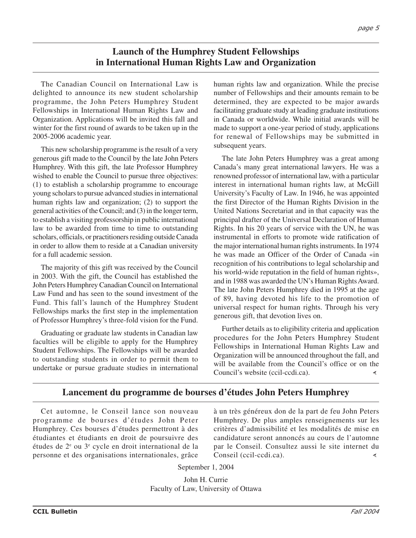### **Launch of the Humphrey Student Fellowships in International Human Rights Law and Organization**

The Canadian Council on International Law is delighted to announce its new student scholarship programme, the John Peters Humphrey Student Fellowships in International Human Rights Law and Organization. Applications will be invited this fall and winter for the first round of awards to be taken up in the 2005-2006 academic year.

This new scholarship programme is the result of a very generous gift made to the Council by the late John Peters Humphrey. With this gift, the late Professor Humphrey wished to enable the Council to pursue three objectives: (1) to establish a scholarship programme to encourage young scholars to pursue advanced studies in international human rights law and organization; (2) to support the general activities of the Council; and (3) in the longer term, to establish a visiting professorship in public international law to be awarded from time to time to outstanding scholars, officials, or practitioners residing outside Canada in order to allow them to reside at a Canadian university for a full academic session.

The majority of this gift was received by the Council in 2003. With the gift, the Council has established the John Peters Humphrey Canadian Council on International Law Fund and has seen to the sound investment of the Fund. This fall's launch of the Humphrey Student Fellowships marks the first step in the implementation of Professor Humphrey's three-fold vision for the Fund.

Graduating or graduate law students in Canadian law faculties will be eligible to apply for the Humphrey Student Fellowships. The Fellowships will be awarded to outstanding students in order to permit them to undertake or pursue graduate studies in international human rights law and organization. While the precise number of Fellowships and their amounts remain to be determined, they are expected to be major awards facilitating graduate study at leading graduate institutions in Canada or worldwide. While initial awards will be made to support a one-year period of study, applications for renewal of Fellowships may be submitted in subsequent years.

The late John Peters Humphrey was a great among Canada's many great international lawyers. He was a renowned professor of international law, with a particular interest in international human rights law, at McGill University's Faculty of Law. In 1946, he was appointed the first Director of the Human Rights Division in the United Nations Secretariat and in that capacity was the principal drafter of the Universal Declaration of Human Rights. In his 20 years of service with the UN, he was instrumental in efforts to promote wide ratification of the major international human rights instruments. In 1974 he was made an Officer of the Order of Canada «in recognition of his contributions to legal scholarship and his world-wide reputation in the field of human rights», and in 1988 was awarded the UN's Human Rights Award. The late John Peters Humphrey died in 1995 at the age of 89, having devoted his life to the promotion of universal respect for human rights. Through his very generous gift, that devotion lives on.

Further details as to eligibility criteria and application procedures for the John Peters Humphrey Student Fellowships in International Human Rights Law and Organization will be announced throughout the fall, and will be available from the Council's office or on the Council's website (ccil-ccdi.ca).  $\prec$ 

### **Lancement du programme de bourses d'études John Peters Humphrey**

Cet automne, le Conseil lance son nouveau programme de bourses d'études John Peter Humphrey. Ces bourses d'études permettront à des étudiantes et étudiants en droit de poursuivre des études de 2e ou 3e cycle en droit international de la personne et des organisations internationales, grâce

à un très généreux don de la part de feu John Peters Humphrey. De plus amples renseignements sur les critères d'admissibilité et les modalités de mise en candidature seront annoncés au cours de l'automne par le Conseil. Consultez aussi le site internet du Conseil (ccil-ccdi.ca). $\prec$ 

September 1, 2004

John H. Currie Faculty of Law, University of Ottawa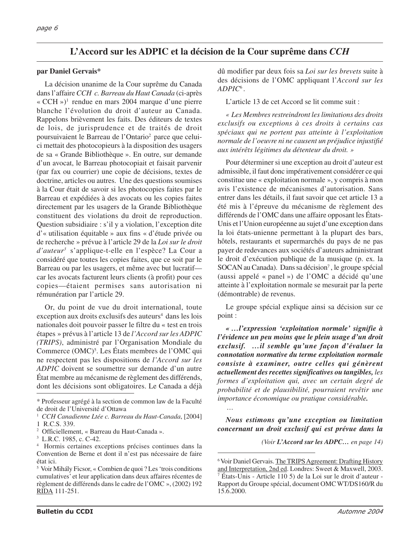### **L'Accord sur les ADPIC et la décision de la Cour suprême dans** *CCH*

#### **par Daniel Gervais\***

La décision unanime de la Cour suprême du Canada dans l'affaire *CCH c. Barreau du Haut Canada* (ci-après «  $CCH$  »)<sup>1</sup> rendue en mars 2004 marque d'une pierre blanche l'évolution du droit d'auteur au Canada. Rappelons brièvement les faits. Des éditeurs de textes de lois, de jurisprudence et de traités de droit poursuivaient le Barreau de l'Ontario2 parce que celuici mettait des photocopieurs à la disposition des usagers de sa « Grande Bibliothèque ». En outre, sur demande d'un avocat, le Barreau photocopiait et faisait parvenir (par fax ou courrier) une copie de décisions, textes de doctrine, articles ou autres. Une des questions soumises à la Cour était de savoir si les photocopies faites par le Barreau et expédiées à des avocats ou les copies faites directement par les usagers de la Grande Bibliothèque constituent des violations du droit de reproduction. Question subsidiaire : s'il y a violation, l'exception dite d'« utilisation équitable » aux fins « d'étude privée ou de recherche » prévue à l'article 29 de la *Loi sur le droit d'auteur3* s'applique-t-elle en l'espèce? La Cour a considéré que toutes les copies faites, que ce soit par le Barreau ou par les usagers, et même avec but lucratif car les avocats facturent leurs clients (à profit) pour ces copies—étaient permises sans autorisation ni rémunération par l'article 29.

Or, du point de vue du droit international, toute  $e$ xception aux droits exclusifs des auteurs<sup>4</sup> dans les lois nationales doit pouvoir passer le filtre du « test en trois étapes » prévus à l'article 13 de *l'Accord sur les ADPIC (TRIPS)*, administré par l'Organisation Mondiale du Commerce (OMC)5 . Les États membres de l'OMC qui ne respectent pas les dispositions de *l'Accord sur les ADPIC* doivent se soumettre sur demande d'un autre État membre au mécanisme de règlement des différends, dont les décisions sont obligatoires. Le Canada a déjà

dû modifier par deux fois sa *Loi sur les brevets* suite à des décisions de l'OMC appliquant l'*Accord sur les ADPIC*<sup>6</sup> .

L'article 13 de cet Accord se lit comme suit :

*« Les Membres restreindront les limitations des droits exclusifs ou exceptions à ces droits à certains cas spéciaux qui ne portent pas atteinte à l'exploitation normale de l'oeuvre ni ne causent un préjudice injustifié aux intérêts légitimes du détenteur du droit. »*

Pour déterminer si une exception au droit d'auteur est admissible, il faut donc impérativement considérer ce qui constitue une « exploitation normale », y compris à mon avis l'existence de mécanismes d'autorisation. Sans entrer dans les détails, il faut savoir que cet article 13 a été mis à l'épreuve du mécanisme de règlement des différends de l'OMC dans une affaire opposant les États-Unis et l'Union européenne au sujet d'une exception dans la loi états-unienne permettant à la plupart des bars, hôtels, restaurants et supermarchés du pays de ne pas payer de redevances aux sociétés d'auteurs administrant le droit d'exécution publique de la musique (p. ex. la SOCAN au Canada). Dans sa décision<sup>7</sup>, le groupe spécial (aussi appelé « panel ») de l'OMC a décidé qu'une atteinte à l'exploitation normale se mesurait par la perte (démontrable) de revenus.

Le groupe spécial explique ainsi sa décision sur ce point :

*« …l'expression 'exploitation normale' signifie à l'évidence un peu moins que le plein usage d'un droit exclusif. …il semble qu'une façon d'évaluer la connotation normative du terme exploitation normale consiste à examiner, outre celles qui génèrent actuellement des recettes significatives ou tangibles, les formes d'exploitation qui, avec un certain degré de probabilité et de plausibilité, pourraient revêtir une importance économique ou pratique considérable. …*

*Nous estimons qu'une exception ou limitation concernant un droit exclusif qui est prévue dans la*

*(Voir L'Accord sur les ADPC… en page 14)*

<sup>\*</sup> Professeur agrégé à la section de common law de la Faculté de droit de l'Université d'Ottawa

<sup>1</sup> *CCH Canadienne Ltée c. Barreau du Haut-Canada*, [2004] 1 R.C.S. 339.

<sup>2</sup> Officiellement, « Barreau du Haut-Canada ».

<sup>3</sup> L.R.C. 1985, c. C-42.

<sup>4</sup> Hormis certaines exceptions précises continues dans la Convention de Berne et dont il n'est pas nécessaire de faire état ici.

<sup>5</sup> Voir Mihály Ficsor, « Combien de quoi ? Les 'trois conditions cumulatives' et leur application dans deux affaires récentes de règlement de différends dans le cadre de l'OMC », (2002) 192 RIDA 111-251.

<sup>&</sup>lt;sup>6</sup> Voir Daniel Gervais. The TRIPS Agreement: Drafting History and Interpretation, 2nd ed. Londres: Sweet & Maxwell, 2003. <sup>7</sup> États-Unis - Article 110 5) de la Loi sur le droit d'auteur - Rapport du Groupe spécial, document OMC WT/DS160/R du 15.6.2000.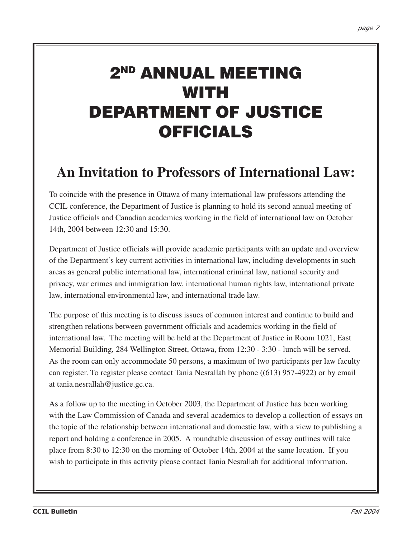# **2ND ANNUAL MEETING WITH DEPARTMENT OF JUSTICE OFFICIALS**

# **An Invitation to Professors of International Law:**

To coincide with the presence in Ottawa of many international law professors attending the CCIL conference, the Department of Justice is planning to hold its second annual meeting of Justice officials and Canadian academics working in the field of international law on October 14th, 2004 between 12:30 and 15:30.

Department of Justice officials will provide academic participants with an update and overview of the Department's key current activities in international law, including developments in such areas as general public international law, international criminal law, national security and privacy, war crimes and immigration law, international human rights law, international private law, international environmental law, and international trade law.

The purpose of this meeting is to discuss issues of common interest and continue to build and strengthen relations between government officials and academics working in the field of international law. The meeting will be held at the Department of Justice in Room 1021, East Memorial Building, 284 Wellington Street, Ottawa, from 12:30 - 3:30 - lunch will be served. As the room can only accommodate 50 persons, a maximum of two participants per law faculty can register. To register please contact Tania Nesrallah by phone ((613) 957-4922) or by email at tania.nesrallah@justice.gc.ca.

As a follow up to the meeting in October 2003, the Department of Justice has been working with the Law Commission of Canada and several academics to develop a collection of essays on the topic of the relationship between international and domestic law, with a view to publishing a report and holding a conference in 2005. A roundtable discussion of essay outlines will take place from 8:30 to 12:30 on the morning of October 14th, 2004 at the same location. If you wish to participate in this activity please contact Tania Nesrallah for additional information.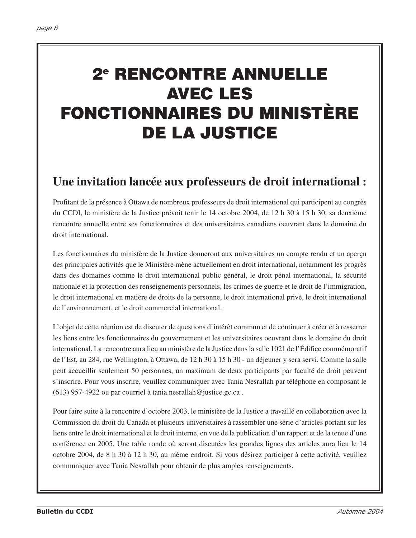# **2e RENCONTRE ANNUELLE AVEC LES FONCTIONNAIRES DU MINISTÈRE DE LA JUSTICE**

## **Une invitation lancée aux professeurs de droit international :**

Profitant de la présence à Ottawa de nombreux professeurs de droit international qui participent au congrès du CCDI, le ministère de la Justice prévoit tenir le 14 octobre 2004, de 12 h 30 à 15 h 30, sa deuxième rencontre annuelle entre ses fonctionnaires et des universitaires canadiens oeuvrant dans le domaine du droit international.

Les fonctionnaires du ministère de la Justice donneront aux universitaires un compte rendu et un aperçu des principales activités que le Ministère mène actuellement en droit international, notamment les progrès dans des domaines comme le droit international public général, le droit pénal international, la sécurité nationale et la protection des renseignements personnels, les crimes de guerre et le droit de l'immigration, le droit international en matière de droits de la personne, le droit international privé, le droit international de l'environnement, et le droit commercial international.

L'objet de cette réunion est de discuter de questions d'intérêt commun et de continuer à créer et à resserrer les liens entre les fonctionnaires du gouvernement et les universitaires oeuvrant dans le domaine du droit international. La rencontre aura lieu au ministère de la Justice dans la salle 1021 de l'Édifice commémoratif de l'Est, au 284, rue Wellington, à Ottawa, de 12 h 30 à 15 h 30 - un déjeuner y sera servi. Comme la salle peut accueillir seulement 50 personnes, un maximum de deux participants par faculté de droit peuvent s'inscrire. Pour vous inscrire, veuillez communiquer avec Tania Nesrallah par téléphone en composant le (613) 957-4922 ou par courriel à tania.nesrallah@justice.gc.ca .

Pour faire suite à la rencontre d'octobre 2003, le ministère de la Justice a travaillé en collaboration avec la Commission du droit du Canada et plusieurs universitaires à rassembler une série d'articles portant sur les liens entre le droit international et le droit interne, en vue de la publication d'un rapport et de la tenue d'une conférence en 2005. Une table ronde où seront discutées les grandes lignes des articles aura lieu le 14 octobre 2004, de 8 h 30 à 12 h 30, au même endroit. Si vous désirez participer à cette activité, veuillez communiquer avec Tania Nesrallah pour obtenir de plus amples renseignements.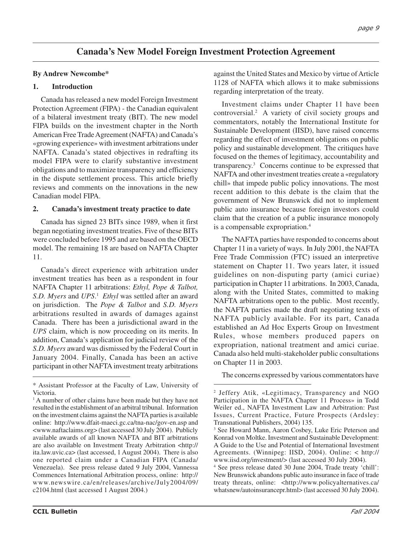### **Canada's New Model Foreign Investment Protection Agreement**

### **By Andrew Newcombe\***

#### **1. Introduction**

Canada has released a new model Foreign Investment Protection Agreement (FIPA) - the Canadian equivalent of a bilateral investment treaty (BIT). The new model FIPA builds on the investment chapter in the North American Free Trade Agreement (NAFTA) and Canada's «growing experience» with investment arbitrations under NAFTA. Canada's stated objectives in redrafting its model FIPA were to clarify substantive investment obligations and to maximize transparency and efficiency in the dispute settlement process. This article briefly reviews and comments on the innovations in the new Canadian model FIPA.

#### **2. Canada's investment treaty practice to date**

Canada has signed 23 BITs since 1989, when it first began negotiating investment treaties. Five of these BITs were concluded before 1995 and are based on the OECD model. The remaining 18 are based on NAFTA Chapter 11.

Canada's direct experience with arbitration under investment treaties has been as a respondent in four NAFTA Chapter 11 arbitrations: *Ethyl, Pope & Talbot, S.D. Myers* and *UPS*. 1 *Ethyl* was settled after an award on jurisdiction. The *Pope & Talbot* and *S.D. Myers* arbitrations resulted in awards of damages against Canada. There has been a jurisdictional award in the *UPS* claim, which is now proceeding on its merits. In addition, Canada's application for judicial review of the *S.D. Myers* award was dismissed by the Federal Court in January 2004. Finally, Canada has been an active participant in other NAFTA investment treaty arbitrations

against the United States and Mexico by virtue of Article 1128 of NAFTA which allows it to make submissions regarding interpretation of the treaty.

Investment claims under Chapter 11 have been controversial.2 A variety of civil society groups and commentators, notably the International Institute for Sustainable Development (IISD), have raised concerns regarding the effect of investment obligations on public policy and sustainable development. The critiques have focused on the themes of legitimacy, accountability and transparency.3 Concerns continue to be expressed that NAFTA and other investment treaties create a «regulatory chill» that impede public policy innovations. The most recent addition to this debate is the claim that the government of New Brunswick did not to implement public auto insurance because foreign investors could claim that the creation of a public insurance monopoly is a compensable expropriation.4

The NAFTA parties have responded to concerns about Chapter 11 in a variety of ways. In July 2001, the NAFTA Free Trade Commission (FTC) issued an interpretive statement on Chapter 11. Two years later, it issued guidelines on non-disputing party (amici curiae) participation in Chapter 11 arbitrations. In 2003, Canada, along with the United States, committed to making NAFTA arbitrations open to the public. Most recently, the NAFTA parties made the draft negotiating texts of NAFTA publicly available. For its part, Canada established an Ad Hoc Experts Group on Investment Rules, whose members produced papers on expropriation, national treatment and amici curiae. Canada also held multi-stakeholder public consultations on Chapter 11 in 2003.

The concerns expressed by various commentators have

<sup>\*</sup> Assistant Professor at the Faculty of Law, University of Victoria.

<sup>&</sup>lt;sup>1</sup> A number of other claims have been made but they have not resulted in the establishment of an arbitral tribunal. Information on the investment claims against the NAFTA parties is available online: http://www.dfait-maeci.gc.ca/tna-nac/gov-en.asp and <www.naftaclaims.org> (last accessed 30 July 2004). Publicly available awards of all known NAFTA and BIT arbitrations are also available on Investment Treaty Arbitration <http:// ita.law.uvic.ca> (last accessed, 1 August 2004). There is also one reported claim under a Canadian FIPA (Canada/ Venezuela). See press release dated 9 July 2004, Vannessa Commences International Arbitration process, online: http:// www.newswire.ca/en/releases/archive/July2004/09/ c2104.html (last accessed 1 August 2004.)

<sup>2</sup> Jeffery Atik, «Legitimacy, Transparency and NGO Participation in the NAFTA Chapter 11 Process» in Todd Weiler ed., NAFTA Investment Law and Arbitration: Past Issues, Current Practice, Future Prospects (Ardsley: Transnational Publishers, 2004) 135.

<sup>3</sup> See Howard Mann, Aaron Cosbey, Luke Eric Peterson and Konrad von Moltke. Investment and Sustainable Development: A Guide to the Use and Potential of International Investment Agreements. (Winnipeg: IISD, 2004). Online: < http:// www.iisd.org/investment/> (last accessed 30 July 2004).

<sup>4</sup> See press release dated 30 June 2004, Trade treaty 'chill': New Brunswick abandons public auto insurance in face of trade treaty threats, online: <http://www.policyalternatives.ca/ whatsnew/autoinsurancepr.html> (last accessed 30 July 2004).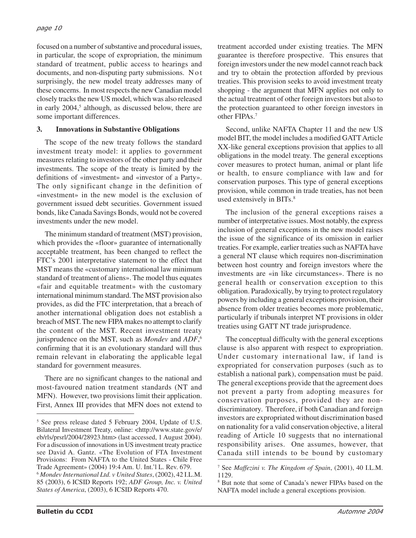focused on a number of substantive and procedural issues, in particular, the scope of expropriation, the minimum standard of treatment, public access to hearings and documents, and non-disputing party submissions. Not surprisingly, the new model treaty addresses many of these concerns. In most respects the new Canadian model closely tracks the new US model, which was also released in early 2004,<sup>5</sup> although, as discussed below, there are some important differences.

### **3. Innovations in Substantive Obligations**

The scope of the new treaty follows the standard investment treaty model: it applies to government measures relating to investors of the other party and their investments. The scope of the treaty is limited by the definitions of «investment» and «investor of a Party». The only significant change in the definition of «investment» in the new model is the exclusion of government issued debt securities. Government issued bonds, like Canada Savings Bonds, would not be covered investments under the new model.

The minimum standard of treatment (MST) provision, which provides the «floor» guarantee of internationally acceptable treatment, has been changed to reflect the FTC's 2001 interpretative statement to the effect that MST means the «customary international law minimum standard of treatment of aliens». The model thus equates «fair and equitable treatment» with the customary international minimum standard. The MST provision also provides, as did the FTC interpretation, that a breach of another international obligation does not establish a breach of MST. The new FIPA makes no attempt to clarify the content of the MST. Recent investment treaty jurisprudence on the MST, such as *Mondev* and *ADF*, 6 confirming that it is an evolutionary standard will thus remain relevant in elaborating the applicable legal standard for government measures.

There are no significant changes to the national and most-favoured nation treatment standards (NT and MFN). However, two provisions limit their application. First, Annex III provides that MFN does not extend to treatment accorded under existing treaties. The MFN guarantee is therefore prospective. This ensures that foreign investors under the new model cannot reach back and try to obtain the protection afforded by previous treaties. This provision seeks to avoid investment treaty shopping - the argument that MFN applies not only to the actual treatment of other foreign investors but also to the protection guaranteed to other foreign investors in other FIPAs.7

Second, unlike NAFTA Chapter 11 and the new US model BIT, the model includes a modified GATT Article XX-like general exceptions provision that applies to all obligations in the model treaty. The general exceptions cover measures to protect human, animal or plant life or health, to ensure compliance with law and for conservation purposes. This type of general exceptions provision, while common in trade treaties, has not been used extensively in BITs.<sup>8</sup>

The inclusion of the general exceptions raises a number of interpretative issues. Most notably, the express inclusion of general exceptions in the new model raises the issue of the significance of its omission in earlier treaties. For example, earlier treaties such as NAFTA have a general NT clause which requires non-discrimination between host country and foreign investors where the investments are «in like circumstances». There is no general health or conservation exception to this obligation. Paradoxically, by trying to protect regulatory powers by including a general exceptions provision, their absence from older treaties becomes more problematic, particularly if tribunals interpret NT provisions in older treaties using GATT NT trade jurisprudence.

The conceptual difficulty with the general exceptions clause is also apparent with respect to expropriation. Under customary international law, if land is expropriated for conservation purposes (such as to establish a national park), compensation must be paid. The general exceptions provide that the agreement does not prevent a party from adopting measures for conservation purposes, provided they are nondiscriminatory. Therefore, if both Canadian and foreign investors are expropriated without discrimination based on nationality for a valid conservation objective, a literal reading of Article 10 suggests that no international responsibility arises. One assumes, however, that Canada still intends to be bound by customary

<sup>5</sup> See press release dated 5 February 2004, Update of U.S. Bilateral Investment Treaty, online: <http://www.state.gov/e/ eb/rls/prsrl/2004/28923.htm> (last accessed, 1 August 2004). For a discussion of innovations in US investment treaty practice see David A. Gantz. «The Evolution of FTA Investment Provisions: From NAFTA to the United States - Chile Free Trade Agreement» (2004) 19:4 Am. U. Int.'l L. Rev. 679.

<sup>6</sup> *Mondev International Ltd. v United States*, (2002), 42 I.L.M. 85 (2003), 6 ICSID Reports 192; *ADF Group, Inc. v. United States of America*, (2003), 6 ICSID Reports 470.

<sup>7</sup> See *Maffezini v. The Kingdom of Spain*, (2001), 40 I.L.M. 1129.

<sup>8</sup> But note that some of Canada's newer FIPAs based on the NAFTA model include a general exceptions provision.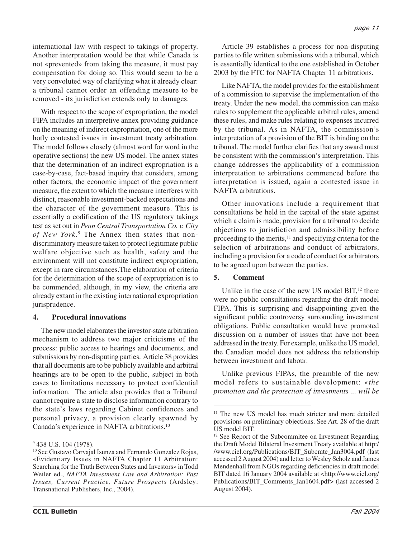international law with respect to takings of property. Another interpretation would be that while Canada is not «prevented» from taking the measure, it must pay compensation for doing so. This would seem to be a very convoluted way of clarifying what it already clear: a tribunal cannot order an offending measure to be removed - its jurisdiction extends only to damages.

With respect to the scope of expropriation, the model FIPA includes an interpretive annex providing guidance on the meaning of indirect expropriation, one of the more hotly contested issues in investment treaty arbitration. The model follows closely (almost word for word in the operative sections) the new US model. The annex states that the determination of an indirect expropriation is a case-by-case, fact-based inquiry that considers, among other factors, the economic impact of the government measure, the extent to which the measure interferes with distinct, reasonable investment-backed expectations and the character of the government measure. This is essentially a codification of the US regulatory takings test as set out in *Penn Central Transportation Co. v. City of New York*. <sup>9</sup> The Annex then states that nondiscriminatory measure taken to protect legitimate public welfare objective such as health, safety and the environment will not constitute indirect expropriation, except in rare circumstances.The elaboration of criteria for the determination of the scope of expropriation is to be commended, although, in my view, the criteria are already extant in the existing international expropriation jurisprudence.

#### **4. Procedural innovations**

The new model elaborates the investor-state arbitration mechanism to address two major criticisms of the process: public access to hearings and documents, and submissions by non-disputing parties. Article 38 provides that all documents are to be publicly available and arbitral hearings are to be open to the public, subject in both cases to limitations necessary to protect confidential information. The article also provides that a Tribunal cannot require a state to disclose information contrary to the state's laws regarding Cabinet confidences and personal privacy, a provision clearly spawned by Canada's experience in NAFTA arbitrations.10

Article 39 establishes a process for non-disputing parties to file written submissions with a tribunal, which is essentially identical to the one established in October 2003 by the FTC for NAFTA Chapter 11 arbitrations.

Like NAFTA, the model provides for the establishment of a commission to supervise the implementation of the treaty. Under the new model, the commission can make rules to supplement the applicable arbitral rules, amend these rules, and make rules relating to expenses incurred by the tribunal. As in NAFTA, the commission's interpretation of a provision of the BIT is binding on the tribunal. The model further clarifies that any award must be consistent with the commission's interpretation. This change addresses the applicability of a commission interpretation to arbitrations commenced before the interpretation is issued, again a contested issue in NAFTA arbitrations.

Other innovations include a requirement that consultations be held in the capital of the state against which a claim is made, provision for a tribunal to decide objections to jurisdiction and admissibility before proceeding to the merits, $11$  and specifying criteria for the selection of arbitrations and conduct of arbitrators, including a provision for a code of conduct for arbitrators to be agreed upon between the parties.

### **5. Comment**

Unlike in the case of the new US model  $BIT<sub>12</sub>$  there were no public consultations regarding the draft model FIPA. This is surprising and disappointing given the significant public controversy surrounding investment obligations. Public consultation would have promoted discussion on a number of issues that have not been addressed in the treaty. For example, unlike the US model, the Canadian model does not address the relationship between investment and labour.

Unlike previous FIPAs, the preamble of the new model refers to sustainable development: *«the promotion and the protection of investments ... will be*

<sup>&</sup>lt;sup>9</sup> 438 U.S. 104 (1978).

<sup>&</sup>lt;sup>10</sup> See Gustavo Carvajal Isunza and Fernando Gonzalez Rojas, «Evidentiary Issues in NAFTA Chapter 11 Arbitration: Searching for the Truth Between States and Investors» in Todd Weiler ed., *NAFTA Investment Law and Arbitration: Past Issues, Current Practice, Future Prospects* (Ardsley: Transnational Publishers, Inc., 2004).

<sup>&</sup>lt;sup>11</sup> The new US model has much stricter and more detailed provisions on preliminary objections. See Art. 28 of the draft US model BIT.

<sup>&</sup>lt;sup>12</sup> See Report of the Subcommitee on Investment Regarding the Draft Model Bilateral Investment Treaty available at http:/ /www.ciel.org/Publications/BIT\_Subcmte\_Jan3004.pdf (last accessed 2 August 2004) and letter to Wesley Scholz and James Mendenhall from NGOs regarding deficiencies in draft model BIT dated 16 January 2004 available at <http://www.ciel.org/ Publications/BIT\_Comments\_Jan1604.pdf> (last accessed 2 August 2004).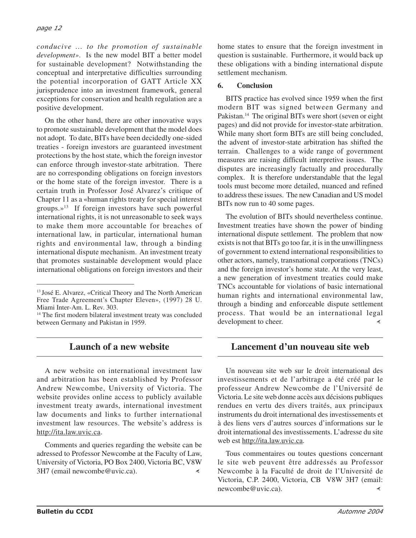*conducive ... to the promotion of sustainable development»*. Is the new model BIT a better model for sustainable development? Notwithstanding the conceptual and interpretative difficulties surrounding the potential incorporation of GATT Article XX jurisprudence into an investment framework, general exceptions for conservation and health regulation are a positive development.

On the other hand, there are other innovative ways to promote sustainable development that the model does not adopt. To date, BITs have been decidedly one-sided treaties - foreign investors are guaranteed investment protections by the host state, which the foreign investor can enforce through investor-state arbitration. There are no corresponding obligations on foreign investors or the home state of the foreign investor. There is a certain truth in Professor José Alvarez's critique of Chapter 11 as a «human rights treaty for special interest groups. $\mathbb{R}^{13}$  If foreign investors have such powerful international rights, it is not unreasonable to seek ways to make them more accountable for breaches of international law, in particular, international human rights and environmental law, through a binding international dispute mechanism. An investment treaty that promotes sustainable development would place international obligations on foreign investors and their

### **Launch of a new website**

A new website on international investment law and arbitration has been established by Professor Andrew Newcombe, University of Victoria. The website provides online access to publicly available investment treaty awards, international investment law documents and links to further international investment law resources. The website's address is http://ita.law.uvic.ca.

Comments and queries regarding the website can be adressed to Professor Newcombe at the Faculty of Law, University of Victoria, PO Box 2400, Victoria BC, V8W 3H7 (email newcombe@uvic.ca).  $\prec$ 

home states to ensure that the foreign investment in question is sustainable. Furthermore, it would back up these obligations with a binding international dispute settlement mechanism.

### **6. Conclusion**

BITS practice has evolved since 1959 when the first modern BIT was signed between Germany and Pakistan.<sup>14</sup> The original BITs were short (seven or eight) pages) and did not provide for investor-state arbitration. While many short form BITs are still being concluded, the advent of investor-state arbitration has shifted the terrain. Challenges to a wide range of government measures are raising difficult interpretive issues. The disputes are increasingly factually and procedurally complex. It is therefore understandable that the legal tools must become more detailed, nuanced and refined to address these issues. The new Canadian and US model BITs now run to 40 some pages.

The evolution of BITs should nevertheless continue. Investment treaties have shown the power of binding international dispute settlement. The problem that now exists is not that BITs go too far, it is in the unwillingness of government to extend international responsibilities to other actors, namely, transnational corporations (TNCs) and the foreign investor's home state. At the very least, a new generation of investment treaties could make TNCs accountable for violations of basic international human rights and international environmental law, through a binding and enforceable dispute settlement process. That would be an international legal development to cheer.

### **Lancement d'un nouveau site web**

Un nouveau site web sur le droit international des investissements et de l'arbitrage a été créé par le professeur Andrew Newcombe de l'Université de Victoria. Le site web donne accès aux décisions publiques rendues en vertu des divers traités, aux principaux instruments du droit international des investissements et à des liens vers d'autres sources d'informations sur le droit international des investissements. L'adresse du site web est http://ita.law.uvic.ca.

Tous commentaires ou toutes questions concernant le site web peuvent être addressés au Professor Newcombe à la Faculté de droit de l'Université de Victoria, C.P. 2400, Victoria, CB V8W 3H7 (email: newcombe@uvic.ca).₹

<sup>13</sup> José E. Alvarez, «Critical Theory and The North American Free Trade Agreement's Chapter Eleven», (1997) 28 U. Miami Inter-Am. L. Rev. 303.

<sup>&</sup>lt;sup>14</sup> The first modern bilateral investment treaty was concluded between Germany and Pakistan in 1959.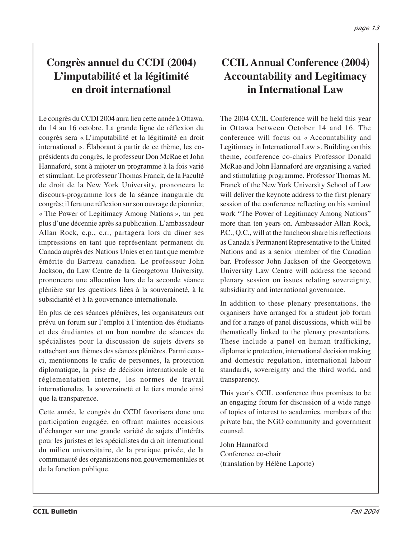## **Congrès annuel du CCDI (2004) L'imputabilité et la légitimité en droit international**

Le congrès du CCDI 2004 aura lieu cette année à Ottawa, du 14 au 16 octobre. La grande ligne de réflexion du congrès sera « L'imputabilité et la légitimité en droit international ». Élaborant à partir de ce thème, les coprésidents du congrès, le professeur Don McRae et John Hannaford, sont à mijoter un programme à la fois varié et stimulant. Le professeur Thomas Franck, de la Faculté de droit de la New York University, prononcera le discours-programme lors de la séance inaugurale du congrès; il fera une réflexion sur son ouvrage de pionnier, « The Power of Legitimacy Among Nations », un peu plus d'une décennie après sa publication. L'ambassadeur Allan Rock, c.p., c.r., partagera lors du dîner ses impressions en tant que représentant permanent du Canada auprès des Nations Unies et en tant que membre émérite du Barreau canadien. Le professeur John Jackson, du Law Centre de la Georgetown University, prononcera une allocution lors de la seconde séance plénière sur les questions liées à la souveraineté, à la subsidiarité et à la gouvernance internationale.

En plus de ces séances plénières, les organisateurs ont prévu un forum sur l'emploi à l'intention des étudiants et des étudiantes et un bon nombre de séances de spécialistes pour la discussion de sujets divers se rattachant aux thèmes des séances plénières. Parmi ceuxci, mentionnons le trafic de personnes, la protection diplomatique, la prise de décision internationale et la réglementation interne, les normes de travail internationales, la souveraineté et le tiers monde ainsi que la transparence.

Cette année, le congrès du CCDI favorisera donc une participation engagée, en offrant maintes occasions d'échanger sur une grande variété de sujets d'intérêts pour les juristes et les spécialistes du droit international du milieu universitaire, de la pratique privée, de la communauté des organisations non gouvernementales et de la fonction publique.

## **CCIL Annual Conference (2004) Accountability and Legitimacy in International Law**

The 2004 CCIL Conference will be held this year in Ottawa between October 14 and 16. The conference will focus on « Accountability and Legitimacy in International Law ». Building on this theme, conference co-chairs Professor Donald McRae and John Hannaford are organising a varied and stimulating programme. Professor Thomas M. Franck of the New York University School of Law will deliver the keynote address to the first plenary session of the conference reflecting on his seminal work "The Power of Legitimacy Among Nations" more than ten years on. Ambassador Allan Rock, P.C., Q.C., will at the luncheon share his reflections as Canada's Permanent Representative to the United Nations and as a senior member of the Canadian bar. Professor John Jackson of the Georgetown University Law Centre will address the second plenary session on issues relating sovereignty, subsidiarity and international governance.

In addition to these plenary presentations, the organisers have arranged for a student job forum and for a range of panel discussions, which will be thematically linked to the plenary presentations. These include a panel on human trafficking, diplomatic protection, international decision making and domestic regulation, international labour standards, sovereignty and the third world, and transparency.

This year's CCIL conference thus promises to be an engaging forum for discussion of a wide range of topics of interest to academics, members of the private bar, the NGO community and government counsel.

John Hannaford Conference co-chair (translation by Hélène Laporte)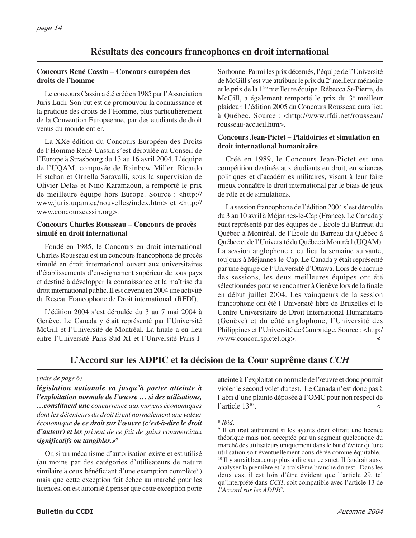### **Résultats des concours francophones en droit international**

#### **Concours René Cassin – Concours européen des droits de l'homme**

Le concours Cassin a été créé en 1985 par l'Association Juris Ludi. Son but est de promouvoir la connaissance et la pratique des droits de l'Homme, plus particulièrement de la Convention Européenne, par des étudiants de droit venus du monde entier.

La XXe édition du Concours Européen des Droits de l'Homme René-Cassin s'est déroulée au Conseil de l'Europe à Strasbourg du 13 au 16 avril 2004. L'équipe de l'UQAM, composée de Rainbow Miller, Ricardo Hrstchan et Ornella Saravalli, sous la supervision de Olivier Delas et Nino Karamaoun, a remporté le prix de meilleure équipe hors Europe. Source : <http:// www.juris.uqam.ca/nouvelles/index.htm> et <http:// www.concourscassin.org>.

#### **Concours Charles Rousseau – Concours de procès simulé en droit international**

Fondé en 1985, le Concours en droit international Charles Rousseau est un concours francophone de procès simulé en droit international ouvert aux universitaires d'établissements d'enseignement supérieur de tous pays et destiné à développer la connaissance et la maîtrise du droit international public. Il est devenu en 2004 une activité du Réseau Francophone de Droit international. (RFDI).

L'édition 2004 s'est déroulée du 3 au 7 mai 2004 à Genève. Le Canada y était représenté par l'Université McGill et l'Université de Montréal. La finale a eu lieu entre l'Université Paris-Sud-XI et l'Université Paris I-

Sorbonne. Parmi les prix décernés, l'équipe de l'Université de McGill s'est vue attribuer le prix du 2<sup>e</sup> meilleur mémoire et le prix de la 1ère meilleure équipe. Rébecca St-Pierre, de McGill, a également remporté le prix du 3e meilleur plaideur. L'édition 2005 du Concours Rousseau aura lieu à Québec. Source : <http://www.rfdi.net/rousseau/ rousseau-accueil.htm>.

### **Concours Jean-Pictet – Plaidoiries et simulation en droit international humanitaire**

Créé en 1989, le Concours Jean-Pictet est une compétition destinée aux étudiants en droit, en sciences politiques et d'académies militaires, visant à leur faire mieux connaître le droit international par le biais de jeux de rôle et de simulations.

La session francophone de l'édition 2004 s'est déroulée du 3 au 10 avril à Méjannes-le-Cap (France). Le Canada y était représenté par des équipes de l'École du Barreau du Québec à Montréal, de l'École du Barreau du Québec à Québec et de l'Université du Québec à Montréal (UQAM). La session anglophone a eu lieu la semaine suivante, toujours à Méjannes-le-Cap. Le Canada y était représenté par une équipe de l'Université d'Ottawa. Lors de chacune des sessions, les deux meilleures équipes ont été sélectionnées pour se rencontrer à Genève lors de la finale en début juillet 2004. Les vainqueurs de la session francophone ont été l'Université libre de Bruxelles et le Centre Universitaire de Droit International Humanitaire (Genève) et du côté anglophone, l'Université des Philippines et l'Université de Cambridge. Source : <http:/ /www.concourspictet.org>. ∢

### **L'Accord sur les ADPIC et la décision de la Cour suprême dans** *CCH*

#### *(suite de page 6)*

*législation nationale va jusqu'à porter atteinte à l'exploitation normale de l'œuvre … si des utilisations, …constituent une concurrence aux moyens économiques dont les détenteurs du droit tirent normalement une valeur économique de ce droit sur l'œuvre (c'est-à-dire le droit d'auteur) et les privent de ce fait de gains commerciaux significatifs ou tangibles.»8*

Or, si un mécanisme d'autorisation existe et est utilisé (au moins par des catégories d'utilisateurs de nature similaire à ceux bénéficiant d'une exemption complète<sup>9</sup>) mais que cette exception fait échec au marché pour les licences, on est autorisé à penser que cette exception porte atteinte à l'exploitation normale de l'œuvre et donc pourrait violer le second volet du test. Le Canada n'est donc pas à l'abri d'une plainte déposée à l'OMC pour non respect de l'article 1310 . ∢

<sup>8</sup> *Ibid*.

<sup>9</sup> Il en irait autrement si les ayants droit offrait une licence théorique mais non acceptée par un segment quelconque du marché des utilisateurs uniquement dans le but d'éviter qu'une utilisation soit éventuellement considérée comme équitable. <sup>10</sup> Il y aurait beaucoup plus à dire sur ce sujet. Il faudrait aussi analyser la première et la troisième branche du test. Dans les deux cas, il est loin d'être évident que l'article 29, tel qu'interprété dans *CCH*, soit compatible avec l'article 13 de *l'Accord sur les ADPIC*.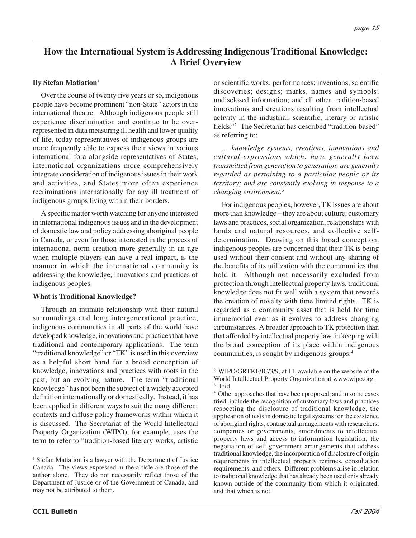### **How the International System is Addressing Indigenous Traditional Knowledge: A Brief Overview**

### **By Stefan Matiation1**

Over the course of twenty five years or so, indigenous people have become prominent "non-State" actors in the international theatre. Although indigenous people still experience discrimination and continue to be overrepresented in data measuring ill health and lower quality of life, today representatives of indigenous groups are more frequently able to express their views in various international fora alongside representatives of States, international organizations more comprehensively integrate consideration of indigenous issues in their work and activities, and States more often experience recriminations internationally for any ill treatment of indigenous groups living within their borders.

A specific matter worth watching for anyone interested in international indigenous issues and in the development of domestic law and policy addressing aboriginal people in Canada, or even for those interested in the process of international norm creation more generally in an age when multiple players can have a real impact, is the manner in which the international community is addressing the knowledge, innovations and practices of indigenous peoples.

### **What is Traditional Knowledge?**

Through an intimate relationship with their natural surroundings and long intergenerational practice, indigenous communities in all parts of the world have developed knowledge, innovations and practices that have traditional and contemporary applications. The term "traditional knowledge" or "TK" is used in this overview as a helpful short hand for a broad conception of knowledge, innovations and practices with roots in the past, but an evolving nature. The term "traditional knowledge" has not been the subject of a widely accepted definition internationally or domestically. Instead, it has been applied in different ways to suit the many different contexts and diffuse policy frameworks within which it is discussed. The Secretariat of the World Intellectual Property Organization (WIPO), for example, uses the term to refer to "tradition-based literary works, artistic

or scientific works; performances; inventions; scientific discoveries; designs; marks, names and symbols; undisclosed information; and all other tradition-based innovations and creations resulting from intellectual activity in the industrial, scientific, literary or artistic fields."2 The Secretariat has described "tradition-based" as referring to:

*… knowledge systems, creations, innovations and cultural expressions which: have generally been transmitted from generation to generation; are generally regarded as pertaining to a particular people or its territory; and are constantly evolving in response to a changing environment.*<sup>3</sup>

For indigenous peoples, however, TK issues are about more than knowledge – they are about culture, customary laws and practices, social organization, relationships with lands and natural resources, and collective selfdetermination. Drawing on this broad conception, indigenous peoples are concerned that their TK is being used without their consent and without any sharing of the benefits of its utilization with the communities that hold it. Although not necessarily excluded from protection through intellectual property laws, traditional knowledge does not fit well with a system that rewards the creation of novelty with time limited rights. TK is regarded as a community asset that is held for time immemorial even as it evolves to address changing circumstances. A broader approach to TK protection than that afforded by intellectual property law, in keeping with the broad conception of its place within indigenous communities, is sought by indigenous groups.4

<sup>&</sup>lt;sup>1</sup> Stefan Matiation is a lawyer with the Department of Justice Canada. The views expressed in the article are those of the author alone. They do not necessarily reflect those of the Department of Justice or of the Government of Canada, and may not be attributed to them.

<sup>2</sup> WIPO/GRTKF/IC/3/9, at 11, available on the website of the World Intellectual Property Organization at www.wipo.org.

<sup>3</sup> Ibid.

<sup>4</sup> Other approaches that have been proposed, and in some cases tried, include the recognition of customary laws and practices respecting the disclosure of traditional knowledge, the application of tests in domestic legal systems for the existence of aboriginal rights, contractual arrangements with researchers, companies or governments, amendments to intellectual property laws and access to information legislation, the negotiation of self-government arrangements that address traditional knowledge, the incorporation of disclosure of origin requirements in intellectual property regimes, consultation requirements, and others. Different problems arise in relation to traditional knowledge that has already been used or is already known outside of the community from which it originated, and that which is not.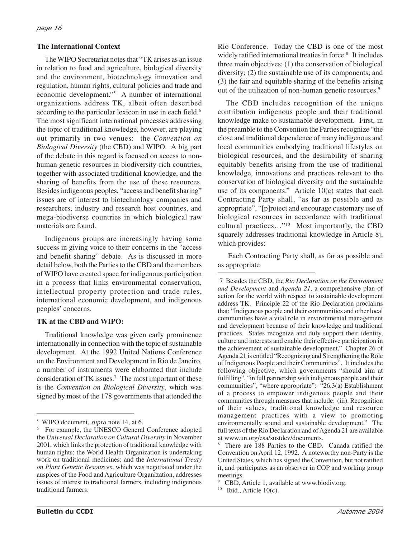### **The International Context**

The WIPO Secretariat notes that "TK arises as an issue in relation to food and agriculture, biological diversity and the environment, biotechnology innovation and regulation, human rights, cultural policies and trade and economic development."5 A number of international organizations address TK, albeit often described according to the particular lexicon in use in each field.<sup>6</sup> The most significant international processes addressing the topic of traditional knowledge, however, are playing out primarily in two venues: the *Convention on Biological Diversity* (the CBD) and WIPO. A big part of the debate in this regard is focused on access to nonhuman genetic resources in biodiversity-rich countries, together with associated traditional knowledge, and the sharing of benefits from the use of these resources. Besides indigenous peoples, "access and benefit sharing" issues are of interest to biotechnology companies and researchers, industry and research host countries, and mega-biodiverse countries in which biological raw materials are found.

Indigenous groups are increasingly having some success in giving voice to their concerns in the "access and benefit sharing" debate. As is discussed in more detail below, both the Parties to the CBD and the members of WIPO have created space for indigenous participation in a process that links environmental conservation, intellectual property protection and trade rules, international economic development, and indigenous peoples' concerns.

#### **TK at the CBD and WIPO:**

Traditional knowledge was given early prominence internationally in connection with the topic of sustainable development. At the 1992 United Nations Conference on the Environment and Development in Rio de Janeiro, a number of instruments were elaborated that include consideration of TK issues.7 The most important of these is the *Convention on Biological Diversity*, which was signed by most of the 178 governments that attended the

Rio Conference. Today the CBD is one of the most widely ratified international treaties in force.<sup>8</sup> It includes three main objectives: (1) the conservation of biological diversity; (2) the sustainable use of its components; and (3) the fair and equitable sharing of the benefits arising out of the utilization of non-human genetic resources.<sup>9</sup>

The CBD includes recognition of the unique contribution indigenous people and their traditional knowledge make to sustainable development. First, in the preamble to the Convention the Parties recognize "the close and traditional dependence of many indigenous and local communities embodying traditional lifestyles on biological resources, and the desirability of sharing equitably benefits arising from the use of traditional knowledge, innovations and practices relevant to the conservation of biological diversity and the sustainable use of its components." Article 10(c) states that each Contracting Party shall, "as far as possible and as appropriate", "[p]rotect and encourage customary use of biological resources in accordance with traditional cultural practices…"10 Most importantly, the CBD squarely addresses traditional knowledge in Article 8j, which provides:

Each Contracting Party shall, as far as possible and as appropriate

<sup>5</sup> WIPO document, *supra* note 14, at 6.

<sup>6</sup> For example, the UNESCO General Conference adopted the *Universal Declaration on Cultural Diversity* in November 2001, which links the protection of traditional knowledge with human rights; the World Health Organization is undertaking work on traditional medicines; and the *International Treaty on Plant Genetic Resources*, which was negotiated under the auspices of the Food and Agriculture Organization, addresses issues of interest to traditional farmers, including indigenous traditional farmers.

<sup>7</sup> Besides the CBD, the *Rio Declaration on the Environment and Development* and *Agenda 21*, a comprehensive plan of action for the world with respect to sustainable development address TK. Principle 22 of the Rio Declaration proclaims that: "Indigenous people and their communities and other local communities have a vital role in environmental management and development because of their knowledge and traditional practices. States recognize and duly support their identity, culture and interests and enable their effective participation in the achievement of sustainable development." Chapter 26 of Agenda 21 is entitled "Recognizing and Strengthening the Role of Indigenous People and their Communities". It includes the following objective, which governments "should aim at fulfilling", "in full partnership with indigenous people and their communities", "where appropriate": "26.3(a) Establishment of a process to empower indigenous people and their communities through measures that include: (iii). Recognition of their values, traditional knowledge and resource management practices with a view to promoting environmentally sound and sustainable development." The full texts of the Rio Declaration and of Agenda 21 are available at www.un.org/esa/sustdev/documents.

<sup>8</sup> There are 188 Parties to the CBD. Canada ratified the Convention on April 12, 1992. A noteworthy non-Party is the United States, which has signed the Convention, but not ratified it, and participates as an observer in COP and working group meetings.

<sup>9</sup> CBD, Article 1, available at www.biodiv.org.

 $10$  Ibid., Article  $10(c)$ .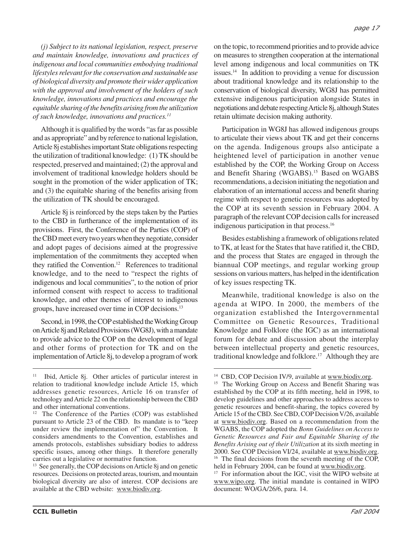*(j) Subject to its national legislation, respect, preserve and maintain knowledge, innovations and practices of indigenous and local communities embodying traditional lifestyles relevant for the conservation and sustainable use of biological diversity and promote their wider application with the approval and involvement of the holders of such knowledge, innovations and practices and encourage the equitable sharing of the benefits arising from the utilization of such knowledge, innovations and practices.11*

Although it is qualified by the words "as far as possible and as appropriate" and by reference to national legislation, Article 8j establishes important State obligations respecting the utilization of traditional knowledge: (1) TK should be respected, preserved and maintained; (2) the approval and involvement of traditional knowledge holders should be sought in the promotion of the wider application of TK; and (3) the equitable sharing of the benefits arising from the utilization of TK should be encouraged.

Article 8j is reinforced by the steps taken by the Parties to the CBD in furtherance of the implementation of its provisions. First, the Conference of the Parties (COP) of the CBD meet every two years when they negotiate, consider and adopt pages of decisions aimed at the progressive implementation of the commitments they accepted when they ratified the Convention.12 References to traditional knowledge, and to the need to "respect the rights of indigenous and local communities", to the notion of prior informed consent with respect to access to traditional knowledge, and other themes of interest to indigenous groups, have increased over time in COP decisions.13

Second, in 1998, the COP established the Working Group on Article 8j and Related Provisions (WG8J), with a mandate to provide advice to the COP on the development of legal and other forms of protection for TK and on the implementation of Article 8j, to develop a program of work

on the topic, to recommend priorities and to provide advice on measures to strengthen cooperation at the international level among indigenous and local communities on TK issues.14 In addition to providing a venue for discussion about traditional knowledge and its relationship to the conservation of biological diversity, WG8J has permitted extensive indigenous participation alongside States in negotiations and debate respecting Article 8j, although States retain ultimate decision making authority.

Participation in WG8J has allowed indigenous groups to articulate their views about TK and get their concerns on the agenda. Indigenous groups also anticipate a heightened level of participation in another venue established by the COP, the Working Group on Access and Benefit Sharing (WGABS).<sup>15</sup> Based on WGABS recommendations, a decision initiating the negotiation and elaboration of an international access and benefit sharing regime with respect to genetic resources was adopted by the COP at its seventh session in February 2004. A paragraph of the relevant COP decision calls for increased indigenous participation in that process.16

Besides establishing a framework of obligations related to TK, at least for the States that have ratified it, the CBD, and the process that States are engaged in through the biannual COP meetings, and regular working group sessions on various matters, has helped in the identification of key issues respecting TK.

Meanwhile, traditional knowledge is also on the agenda at WIPO. In 2000, the members of the organization established the Intergovernmental Committee on Genetic Resources, Traditional Knowledge and Folklore (the IGC) as an international forum for debate and discussion about the interplay between intellectual property and genetic resources, traditional knowledge and folklore.<sup>17</sup> Although they are

<sup>&</sup>lt;sup>11</sup> Ibid, Article 8j. Other articles of particular interest in relation to traditional knowledge include Article 15, which addresses genetic resources, Article 16 on transfer of technology and Article 22 on the relationship between the CBD and other international conventions.

<sup>&</sup>lt;sup>12</sup> The Conference of the Parties (COP) was established pursuant to Article 23 of the CBD. Its mandate is to "keep under review the implementation of" the Convention. It considers amendments to the Convention, establishes and amends protocols, establishes subsidiary bodies to address specific issues, among other things. It therefore generally carries out a legislative or normative function.

<sup>&</sup>lt;sup>13</sup> See generally, the COP decisions on Article 8j and on genetic resources. Decisions on protected areas, tourism, and mountain biological diversity are also of interest. COP decisions are available at the CBD website: www.biodiv.org.

<sup>&</sup>lt;sup>14</sup> CBD, COP Decision IV/9, available at www.biodiv.org.

<sup>&</sup>lt;sup>15</sup> The Working Group on Access and Benefit Sharing was established by the COP at its fifth meeting, held in 1998, to develop guidelines and other approaches to address access to genetic resources and benefit-sharing, the topics covered by Article 15 of the CBD. See CBD, COP Decision V/26, available at www.biodiv.org. Based on a recommendation from the WGABS, the COP adopted the *Bonn Guidelines on Access to Genetic Resources and Fair and Equitable Sharing of the Benefits Arising out of their Utilization* at its sixth meeting in 2000. See COP Decision VI/24, available at www.biodiv.org. <sup>16</sup> The final decisions from the seventh meeting of the COP, held in February 2004, can be found at www.biodiv.org.

<sup>&</sup>lt;sup>17</sup> For information about the IGC, visit the WIPO website at www.wipo.org. The initial mandate is contained in WIPO document: WO/GA/26/6, para. 14.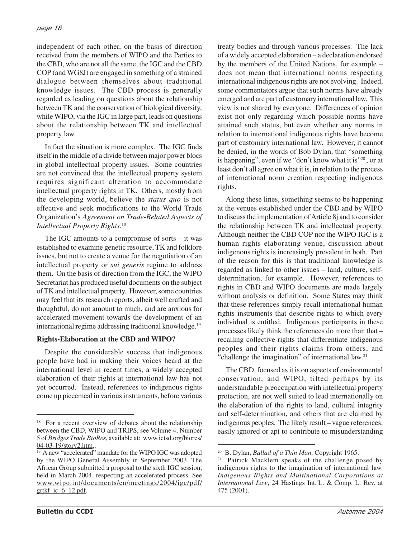independent of each other, on the basis of direction received from the members of WIPO and the Parties to the CBD, who are not all the same, the IGC and the CBD COP (and WG8J) are engaged in something of a strained dialogue between themselves about traditional knowledge issues. The CBD process is generally regarded as leading on questions about the relationship between TK and the conservation of biological diversity, while WIPO, via the IGC in large part, leads on questions about the relationship between TK and intellectual property law.

In fact the situation is more complex. The IGC finds itself in the middle of a divide between major power blocs in global intellectual property issues. Some countries are not convinced that the intellectual property system requires significant alteration to accommodate intellectual property rights in TK. Others, mostly from the developing world, believe the *status quo* is not effective and seek modifications to the World Trade Organization's *Agreement on Trade-Related Aspects of Intellectual Property Rights*. 18

The IGC amounts to a compromise of sorts – it was established to examine genetic resource, TK and folklore issues, but not to create a venue for the negotiation of an intellectual property or *sui generis* regime to address them. On the basis of direction from the IGC, the WIPO Secretariat has produced useful documents on the subject of TK and intellectual property. However, some countries may feel that its research reports, albeit well crafted and thoughtful, do not amount to much, and are anxious for accelerated movement towards the development of an international regime addressing traditional knowledge.19

#### **Rights-Elaboration at the CBD and WIPO?**

Despite the considerable success that indigenous people have had in making their voices heard at the international level in recent times, a widely accepted elaboration of their rights at international law has not yet occurred. Instead, references to indigenous rights come up piecemeal in various instruments, before various

treaty bodies and through various processes. The lack of a widely accepted elaboration – a declaration endorsed by the members of the United Nations, for example – does not mean that international norms respecting international indigenous rights are not evolving. Indeed, some commentators argue that such norms have already emerged and are part of customary international law. This view is not shared by everyone. Differences of opinion exist not only regarding which possible norms have attained such status, but even whether any norms in relation to international indigenous rights have become part of customary international law. However, it cannot be denied, in the words of Bob Dylan, that "something is happening", even if we "don't know what it is"<sup>20</sup>, or at least don't all agree on what it is, in relation to the process of international norm creation respecting indigenous rights.

Along these lines, something seems to be happening at the venues established under the CBD and by WIPO to discuss the implementation of Article 8j and to consider the relationship between TK and intellectual property. Although neither the CBD COP nor the WIPO IGC is a human rights elaborating venue, discussion about indigenous rights is increasingly prevalent in both. Part of the reason for this is that traditional knowledge is regarded as linked to other issues – land, culture, selfdetermination, for example. However, references to rights in CBD and WIPO documents are made largely without analysis or definition. Some States may think that these references simply recall international human rights instruments that describe rights to which every individual is entitled. Indigenous participants in these processes likely think the references do more than that – recalling collective rights that differentiate indigenous peoples and their rights claims from others, and "challenge the imagination" of international law.<sup>21</sup>

The CBD, focused as it is on aspects of environmental conservation, and WIPO, tilted perhaps by its understandable preoccupation with intellectual property protection, are not well suited to lead internationally on the elaboration of the rights to land, cultural integrity and self-determination, and others that are claimed by indigenous peoples. The likely result – vague references, easily ignored or apt to contribute to misunderstanding

<sup>&</sup>lt;sup>18</sup> For a recent overview of debates about the relationship between the CBD, WIPO and TRIPS, see Volume 4, Number 5 of *Bridges Trade BioRes*, available at: www.ictsd.org/biores/ 04-03-19/story2.htm,.

<sup>19</sup> A new "accelerated" mandate for the WIPO IGC was adopted by the WIPO General Assembly in September 2003. The African Group submitted a proposal to the sixth IGC session, held in March 2004, respecting an accelerated process. See www.wipo.int/documents/en/meetings/2004/igc/pdf/ grtkf ic  $6$  12.pdf.

<sup>20</sup> B. Dylan, *Ballad of a Thin Man*, Copyright 1965.

<sup>21</sup> Patrick Macklem speaks of the challenge posed by indigenous rights to the imagination of international law. *Indigenous Rights and Multinational Corporations at International Law*, 24 Hastings Int.'L. & Comp. L. Rev. at 475 (2001).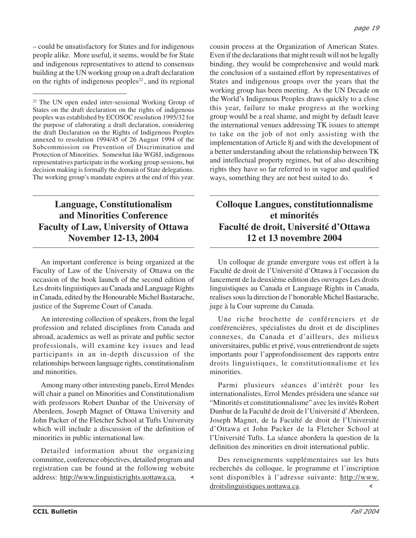– could be unsatisfactory for States and for indigenous people alike. More useful, it seems, would be for State and indigenous representatives to attend to consensus building at the UN working group on a draft declaration on the rights of indigenous peoples $22$ , and its regional

### **Language, Constitutionalism and Minorities Conference Faculty of Law, University of Ottawa November 12-13, 2004**

An important conference is being organized at the Faculty of Law of the University of Ottawa on the occasion of the book launch of the second edition of Les droits linguistiques au Canada and Language Rights in Canada, edited by the Honourable Michel Bastarache, justice of the Supreme Court of Canada.

An interesting collection of speakers, from the legal profession and related disciplines from Canada and abroad, academics as well as private and public sector professionals, will examine key issues and lead participants in an in-depth discussion of the relationships between language rights, constitutionalism and minorities.

Among many other interesting panels, Errol Mendes will chair a panel on Minorities and Constitutionalism with professors Robert Dunbar of the University of Aberdeen, Joseph Magnet of Ottawa University and John Packer of the Fletcher School at Tufts University which will include a discussion of the definition of minorities in public international law.

Detailed information about the organizing committee, conference objectives, detailed program and registration can be found at the following website address: http://www.linguisticrights.uottawa.ca.  $\prec$ 

cousin process at the Organization of American States. Even if the declarations that might result will not be legally binding, they would be comprehensive and would mark the conclusion of a sustained effort by representatives of States and indigenous groups over the years that the working group has been meeting. As the UN Decade on the World's Indigenous Peoples draws quickly to a close this year, failure to make progress at the working group would be a real shame, and might by default leave the international venues addressing TK issues to attempt to take on the job of not only assisting with the implementation of Article 8j and with the development of a better understanding about the relationship between TK and intellectual property regimes, but of also describing rights they have so far referred to in vague and qualified ways, something they are not best suited to do.

### **Colloque Langues, constitutionnalisme et minorités Faculté de droit, Université d'Ottawa 12 et 13 novembre 2004**

Un colloque de grande envergure vous est offert à la Faculté de droit de l'Université d'Ottawa à l'occasion du lancement de la deuxième edition des ouvrages Les droits linguistiques au Canada et Language Rights in Canada, realises sous la direction de l'honorable Michel Bastarache, juge à la Cour supreme du Canada.

Une riche brochette de conférenciers et de conférencières, spécialistes du droit et de disciplines connexes, du Canada et d'ailleurs, des milieux universitaires, public et privé, vous entretiendront de sujets importants pour l'approfondissement des rapports entre droits linguistiques, le constitutionnalisme et les minorities.

Parmi plusieurs séances d'intérêt pour les internationalistes, Errol Mendes présidera une séance sur "Minorités et constitutionnalisme" avec les invités Robert Dunbar de la Faculté de droit de l'Université d'Aberdeen, Joseph Magnet, de la Faculté de droit de l'Université d'Ottawa et John Packer de la Fletcher School at l'Université Tufts. La séance abordera la question de la definition des minorities en droit international public.

Des renseignements supplémentaires sur les buts recherchés du colloque, le programme et l'inscription sont disponibles à l'adresse suivante: http://www. droitslinguistiques.uottawa.ca.  $\prec$ 

<sup>22</sup> The UN open ended inter-sessional Working Group of States on the draft declaration on the rights of indigenous peoples was established by ECOSOC resolution 1995/32 for the purpose of elaborating a draft declaration, considering the draft Declaration on the Rights of Indigenous Peoples annexed to resolution 1994/45 of 26 August 1994 of the Subcommission on Prevention of Discrimination and Protection of Minorities. Somewhat like WG8J, indigenous representatives participate in the working group sessions, but decision making is formally the domain of State delegations. The working group's mandate expires at the end of this year.